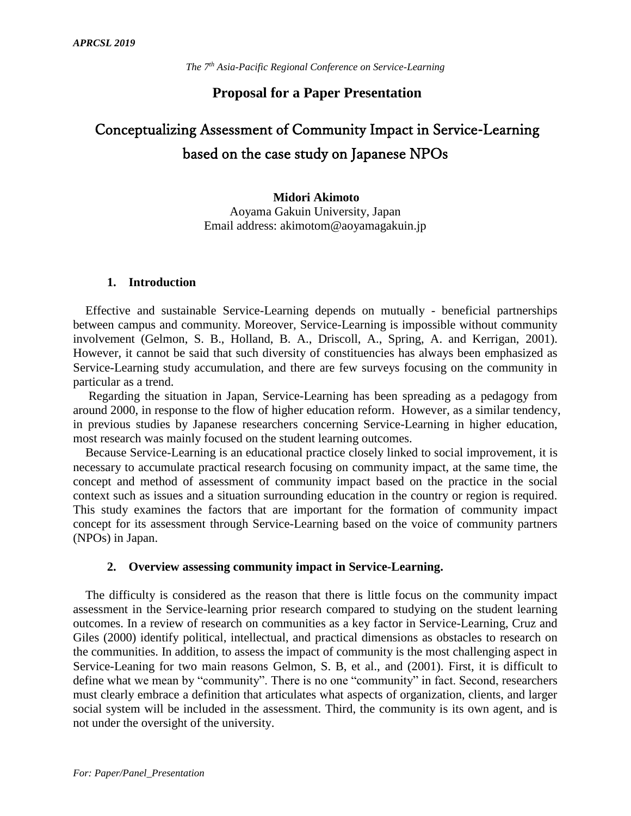# **Proposal for a Paper Presentation**

# Conceptualizing Assessment of Community Impact in Service-Learning based on the case study on Japanese NPOs

**Midori Akimoto** Aoyama Gakuin University, Japan Email address: akimotom@aoyamagakuin.jp

#### **1. Introduction**

Effective and sustainable Service-Learning depends on mutually - beneficial partnerships between campus and community. Moreover, Service-Learning is impossible without community involvement (Gelmon, S. B., Holland, B. A., Driscoll, A., Spring, A. and Kerrigan, 2001). However, it cannot be said that such diversity of constituencies has always been emphasized as Service-Learning study accumulation, and there are few surveys focusing on the community in particular as a trend.

Regarding the situation in Japan, Service-Learning has been spreading as a pedagogy from around 2000, in response to the flow of higher education reform. However, as a similar tendency, in previous studies by Japanese researchers concerning Service-Learning in higher education, most research was mainly focused on the student learning outcomes.

Because Service-Learning is an educational practice closely linked to social improvement, it is necessary to accumulate practical research focusing on community impact, at the same time, the concept and method of assessment of community impact based on the practice in the social context such as issues and a situation surrounding education in the country or region is required. This study examines the factors that are important for the formation of community impact concept for its assessment through Service-Learning based on the voice of community partners (NPOs) in Japan.

# **2. Overview assessing community impact in Service-Learning.**

The difficulty is considered as the reason that there is little focus on the community impact assessment in the Service-learning prior research compared to studying on the student learning outcomes. In a review of research on communities as a key factor in Service-Learning, Cruz and Giles (2000) identify political, intellectual, and practical dimensions as obstacles to research on the communities. In addition, to assess the impact of community is the most challenging aspect in Service-Leaning for two main reasons Gelmon, S. B, et al., and (2001). First, it is difficult to define what we mean by "community". There is no one "community" in fact. Second, researchers must clearly embrace a definition that articulates what aspects of organization, clients, and larger social system will be included in the assessment. Third, the community is its own agent, and is not under the oversight of the university.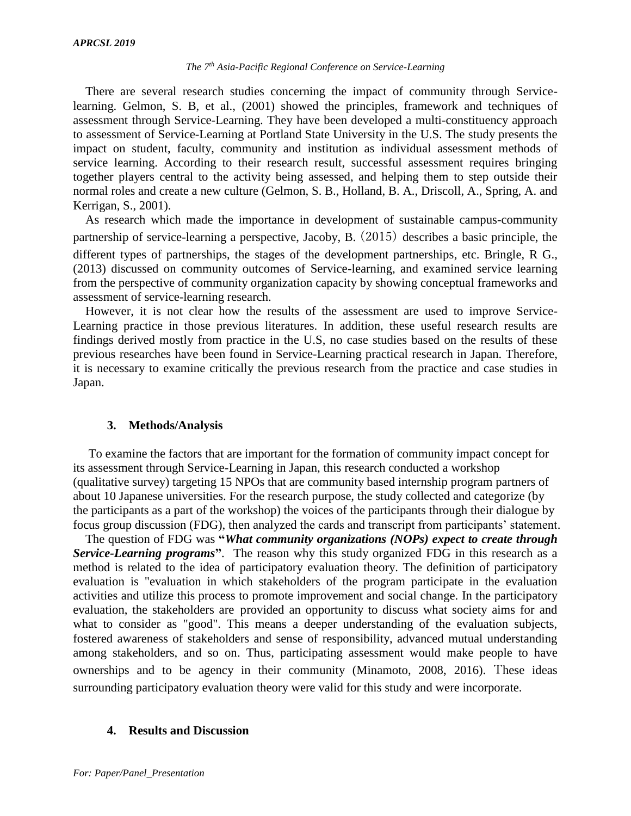#### *The 7th Asia-Pacific Regional Conference on Service-Learning*

There are several research studies concerning the impact of community through Servicelearning. Gelmon, S. B, et al., (2001) showed the principles, framework and techniques of assessment through Service-Learning. They have been developed a multi-constituency approach to assessment of Service-Learning at Portland State University in the U.S. The study presents the impact on student, faculty, community and institution as individual assessment methods of service learning. According to their research result, successful assessment requires bringing together players central to the activity being assessed, and helping them to step outside their normal roles and create a new culture (Gelmon, S. B., Holland, B. A., Driscoll, A., Spring, A. and Kerrigan, S., 2001).

As research which made the importance in development of sustainable campus-community partnership of service-learning a perspective, Jacoby, B. (2015) describes a basic principle, the different types of partnerships, the stages of the development partnerships, etc. Bringle, R G., (2013) discussed on community outcomes of Service-learning, and examined service learning from the perspective of community organization capacity by showing conceptual frameworks and assessment of service-learning research.

However, it is not clear how the results of the assessment are used to improve Service-Learning practice in those previous literatures. In addition, these useful research results are findings derived mostly from practice in the U.S, no case studies based on the results of these previous researches have been found in Service-Learning practical research in Japan. Therefore, it is necessary to examine critically the previous research from the practice and case studies in Japan.

#### **3. Methods/Analysis**

 To examine the factors that are important for the formation of community impact concept for its assessment through Service-Learning in Japan, this research conducted a workshop (qualitative survey) targeting 15 NPOs that are community based internship program partners of about 10 Japanese universities. For the research purpose, the study collected and categorize (by the participants as a part of the workshop) the voices of the participants through their dialogue by focus group discussion (FDG), then analyzed the cards and transcript from participants' statement.

 The question of FDG was **"***What community organizations (NOPs) expect to create through Service-Learning programs***"**. The reason why this study organized FDG in this research as a method is related to the idea of participatory evaluation theory. The definition of participatory evaluation is "evaluation in which stakeholders of the program participate in the evaluation activities and utilize this process to promote improvement and social change. In the participatory evaluation, the stakeholders are provided an opportunity to discuss what society aims for and what to consider as "good". This means a deeper understanding of the evaluation subjects, fostered awareness of stakeholders and sense of responsibility, advanced mutual understanding among stakeholders, and so on. Thus, participating assessment would make people to have ownerships and to be agency in their community (Minamoto, 2008, 2016). These ideas surrounding participatory evaluation theory were valid for this study and were incorporate.

#### **4. Results and Discussion**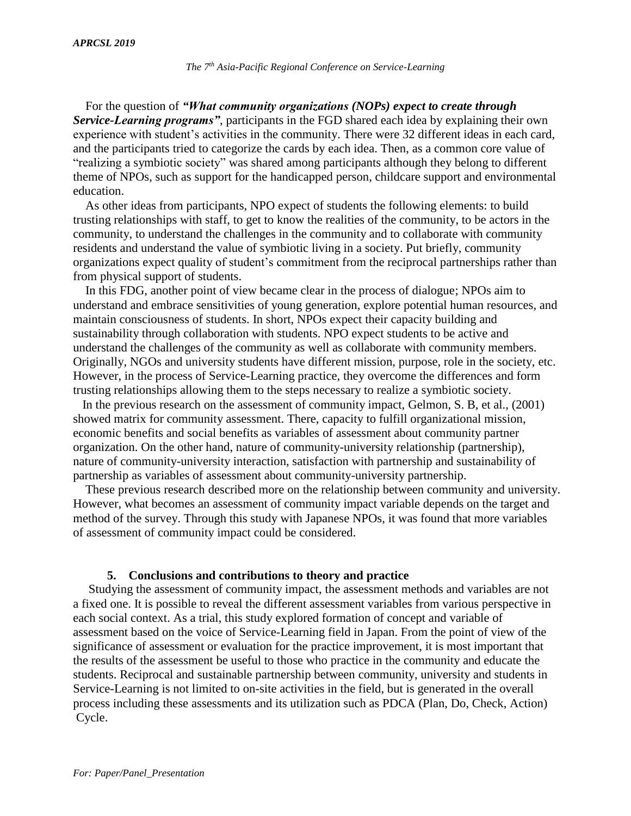For the question of *"What community organizations (NOPs) expect to create through Service-Learning programs"*, participants in the FGD shared each idea by explaining their own experience with student's activities in the community. There were 32 different ideas in each card, and the participants tried to categorize the cards by each idea. Then, as a common core value of "realizing a symbiotic society" was shared among participants although they belong to different theme of NPOs, such as support for the handicapped person, childcare support and environmental education.

As other ideas from participants, NPO expect of students the following elements: to build trusting relationships with staff, to get to know the realities of the community, to be actors in the community, to understand the challenges in the community and to collaborate with community residents and understand the value of symbiotic living in a society. Put briefly, community organizations expect quality of student's commitment from the reciprocal partnerships rather than from physical support of students.

In this FDG, another point of view became clear in the process of dialogue; NPOs aim to understand and embrace sensitivities of young generation, explore potential human resources, and maintain consciousness of students. In short, NPOs expect their capacity building and sustainability through collaboration with students. NPO expect students to be active and understand the challenges of the community as well as collaborate with community members. Originally, NGOs and university students have different mission, purpose, role in the society, etc. However, in the process of Service-Learning practice, they overcome the differences and form trusting relationships allowing them to the steps necessary to realize a symbiotic society.

In the previous research on the assessment of community impact, Gelmon, S. B, et al., (2001) showed matrix for community assessment. There, capacity to fulfill organizational mission, economic benefits and social benefits as variables of assessment about community partner organization. On the other hand, nature of community-university relationship (partnership), nature of community-university interaction, satisfaction with partnership and sustainability of partnership as variables of assessment about community-university partnership.

These previous research described more on the relationship between community and university. However, what becomes an assessment of community impact variable depends on the target and method of the survey. Through this study with Japanese NPOs, it was found that more variables of assessment of community impact could be considered.

# **5. Conclusions and contributions to theory and practice**

Studying the assessment of community impact, the assessment methods and variables are not a fixed one. It is possible to reveal the different assessment variables from various perspective in each social context. As a trial, this study explored formation of concept and variable of assessment based on the voice of Service-Learning field in Japan. From the point of view of the significance of assessment or evaluation for the practice improvement, it is most important that the results of the assessment be useful to those who practice in the community and educate the students. Reciprocal and sustainable partnership between community, university and students in Service-Learning is not limited to on-site activities in the field, but is generated in the overall process including these assessments and its utilization such as PDCA (Plan, Do, Check, Action) Cycle.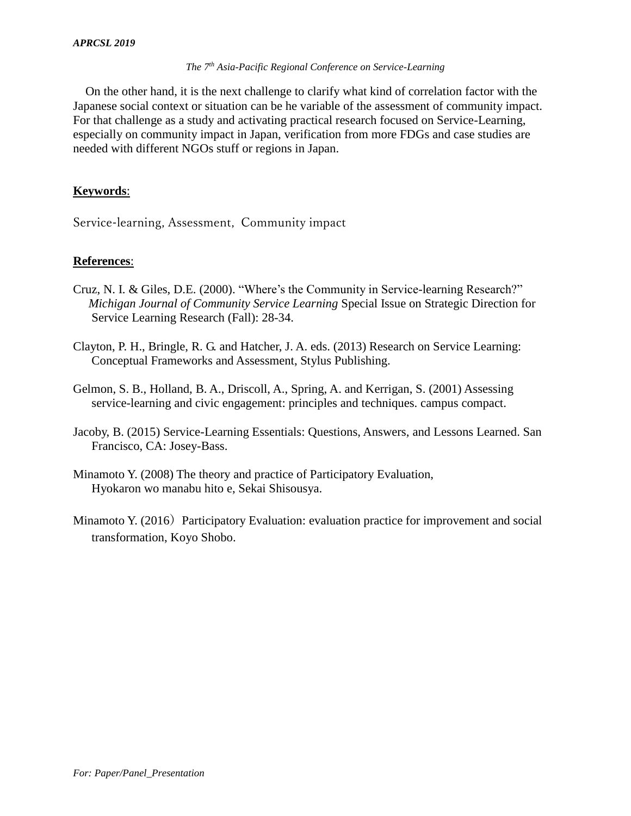#### *The 7th Asia-Pacific Regional Conference on Service-Learning*

On the other hand, it is the next challenge to clarify what kind of correlation factor with the Japanese social context or situation can be he variable of the assessment of community impact. For that challenge as a study and activating practical research focused on Service-Learning, especially on community impact in Japan, verification from more FDGs and case studies are needed with different NGOs stuff or regions in Japan.

# **Keywords**:

Service-learning, Assessment, Community impact

# **References**:

- Cruz, N. I. & Giles, D.E. (2000). "Where's the Community in Service-learning Research?" *Michigan Journal of Community Service Learning* Special Issue on Strategic Direction for Service Learning Research (Fall): 28-34.
- Clayton, P. H., Bringle, R. G. and Hatcher, J. A. eds. (2013) Research on Service Learning: Conceptual Frameworks and Assessment, Stylus Publishing.
- Gelmon, S. B., Holland, B. A., Driscoll, A., Spring, A. and Kerrigan, S. (2001) Assessing service-learning and civic engagement: principles and techniques. campus compact.
- Jacoby, B. (2015) Service-Learning Essentials: Questions, Answers, and Lessons Learned. San Francisco, CA: Josey-Bass.
- Minamoto Y. (2008) The theory and practice of Participatory Evaluation, Hyokaron wo manabu hito e, Sekai Shisousya.
- Minamoto Y. (2016) Participatory Evaluation: evaluation practice for improvement and social transformation, Koyo Shobo.